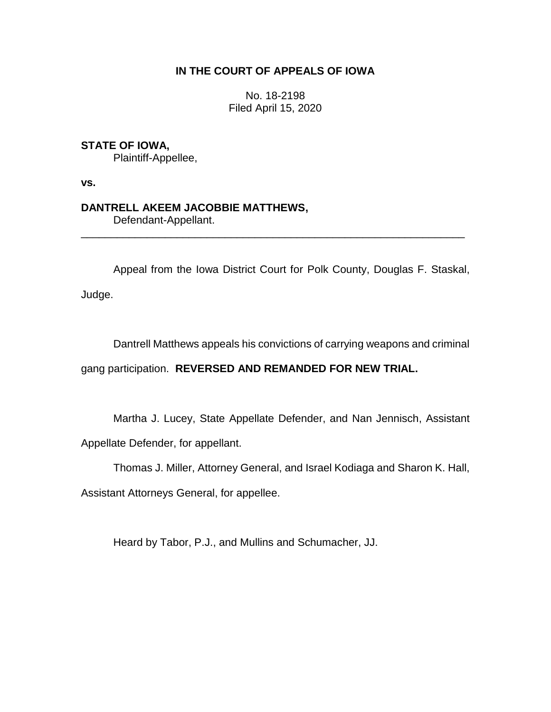## **IN THE COURT OF APPEALS OF IOWA**

No. 18-2198 Filed April 15, 2020

## **STATE OF IOWA,**

Plaintiff-Appellee,

**vs.**

# **DANTRELL AKEEM JACOBBIE MATTHEWS,**

Defendant-Appellant.

Appeal from the Iowa District Court for Polk County, Douglas F. Staskal,

\_\_\_\_\_\_\_\_\_\_\_\_\_\_\_\_\_\_\_\_\_\_\_\_\_\_\_\_\_\_\_\_\_\_\_\_\_\_\_\_\_\_\_\_\_\_\_\_\_\_\_\_\_\_\_\_\_\_\_\_\_\_\_\_

Judge.

Dantrell Matthews appeals his convictions of carrying weapons and criminal

gang participation. **REVERSED AND REMANDED FOR NEW TRIAL.**

Martha J. Lucey, State Appellate Defender, and Nan Jennisch, Assistant

Appellate Defender, for appellant.

Thomas J. Miller, Attorney General, and Israel Kodiaga and Sharon K. Hall,

Assistant Attorneys General, for appellee.

Heard by Tabor, P.J., and Mullins and Schumacher, JJ.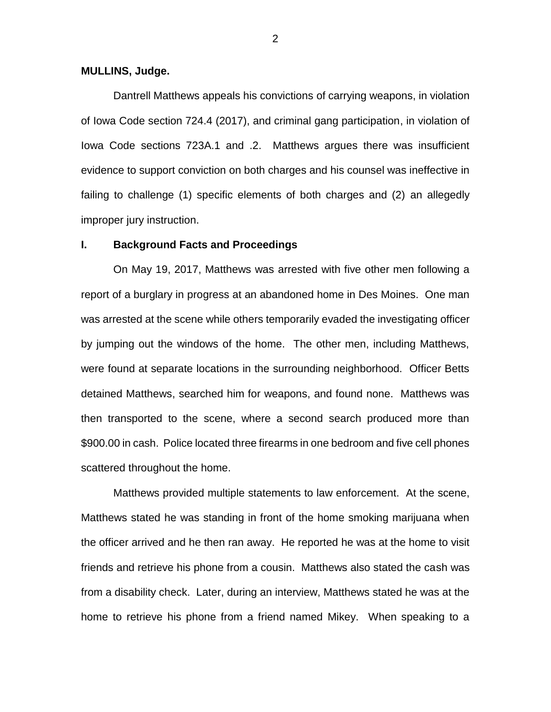#### **MULLINS, Judge.**

Dantrell Matthews appeals his convictions of carrying weapons, in violation of Iowa Code section 724.4 (2017), and criminal gang participation, in violation of Iowa Code sections 723A.1 and .2. Matthews argues there was insufficient evidence to support conviction on both charges and his counsel was ineffective in failing to challenge (1) specific elements of both charges and (2) an allegedly improper jury instruction.

#### **I. Background Facts and Proceedings**

On May 19, 2017, Matthews was arrested with five other men following a report of a burglary in progress at an abandoned home in Des Moines. One man was arrested at the scene while others temporarily evaded the investigating officer by jumping out the windows of the home. The other men, including Matthews, were found at separate locations in the surrounding neighborhood. Officer Betts detained Matthews, searched him for weapons, and found none. Matthews was then transported to the scene, where a second search produced more than \$900.00 in cash. Police located three firearms in one bedroom and five cell phones scattered throughout the home.

Matthews provided multiple statements to law enforcement. At the scene, Matthews stated he was standing in front of the home smoking marijuana when the officer arrived and he then ran away. He reported he was at the home to visit friends and retrieve his phone from a cousin. Matthews also stated the cash was from a disability check. Later, during an interview, Matthews stated he was at the home to retrieve his phone from a friend named Mikey. When speaking to a

2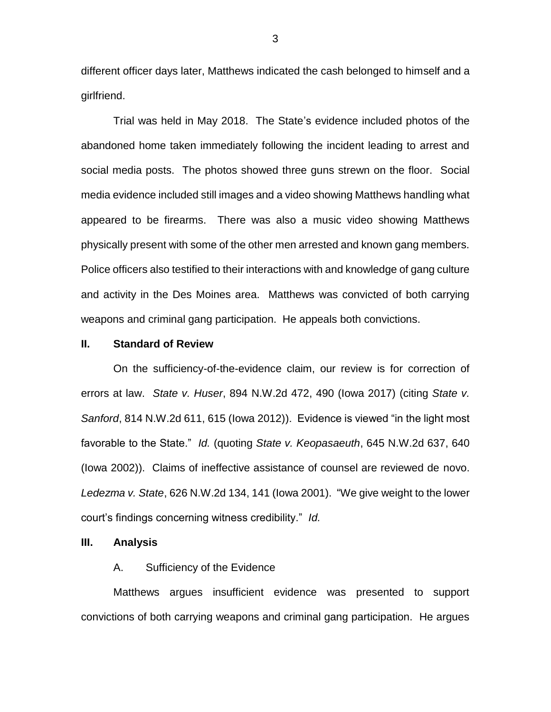different officer days later, Matthews indicated the cash belonged to himself and a girlfriend.

Trial was held in May 2018. The State's evidence included photos of the abandoned home taken immediately following the incident leading to arrest and social media posts. The photos showed three guns strewn on the floor. Social media evidence included still images and a video showing Matthews handling what appeared to be firearms. There was also a music video showing Matthews physically present with some of the other men arrested and known gang members. Police officers also testified to their interactions with and knowledge of gang culture and activity in the Des Moines area. Matthews was convicted of both carrying weapons and criminal gang participation. He appeals both convictions.

#### **II. Standard of Review**

On the sufficiency-of-the-evidence claim, our review is for correction of errors at law. *State v. Huser*, 894 N.W.2d 472, 490 (Iowa 2017) (citing *State v. Sanford*, 814 N.W.2d 611, 615 (Iowa 2012)). Evidence is viewed "in the light most favorable to the State." *Id.* (quoting *State v. Keopasaeuth*, 645 N.W.2d 637, 640 (Iowa 2002)). Claims of ineffective assistance of counsel are reviewed de novo. *Ledezma v. State*, 626 N.W.2d 134, 141 (Iowa 2001). "We give weight to the lower court's findings concerning witness credibility." *Id.*

### **III. Analysis**

### A. Sufficiency of the Evidence

Matthews argues insufficient evidence was presented to support convictions of both carrying weapons and criminal gang participation. He argues

3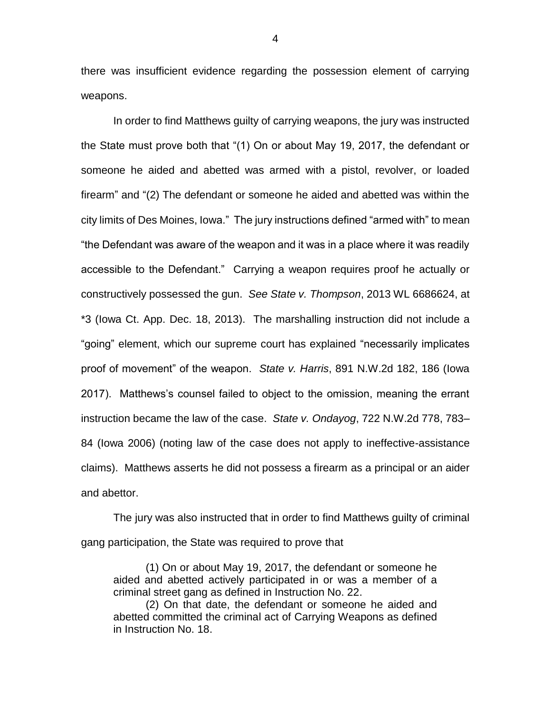there was insufficient evidence regarding the possession element of carrying weapons.

In order to find Matthews guilty of carrying weapons, the jury was instructed the State must prove both that "(1) On or about May 19, 2017, the defendant or someone he aided and abetted was armed with a pistol, revolver, or loaded firearm" and "(2) The defendant or someone he aided and abetted was within the city limits of Des Moines, Iowa." The jury instructions defined "armed with" to mean "the Defendant was aware of the weapon and it was in a place where it was readily accessible to the Defendant." Carrying a weapon requires proof he actually or constructively possessed the gun. *See State v. Thompson*, 2013 WL 6686624, at \*3 (Iowa Ct. App. Dec. 18, 2013). The marshalling instruction did not include a "going" element, which our supreme court has explained "necessarily implicates proof of movement" of the weapon. *State v. Harris*, 891 N.W.2d 182, 186 (Iowa 2017). Matthews's counsel failed to object to the omission, meaning the errant instruction became the law of the case. *State v. Ondayog*, 722 N.W.2d 778, 783– 84 (Iowa 2006) (noting law of the case does not apply to ineffective-assistance claims). Matthews asserts he did not possess a firearm as a principal or an aider and abettor.

The jury was also instructed that in order to find Matthews guilty of criminal gang participation, the State was required to prove that

(1) On or about May 19, 2017, the defendant or someone he aided and abetted actively participated in or was a member of a criminal street gang as defined in Instruction No. 22.

(2) On that date, the defendant or someone he aided and abetted committed the criminal act of Carrying Weapons as defined in Instruction No. 18.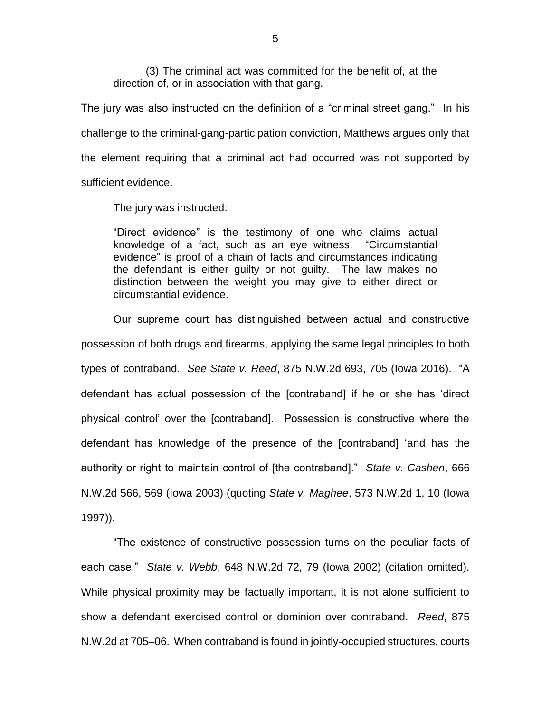(3) The criminal act was committed for the benefit of, at the direction of, or in association with that gang.

The jury was also instructed on the definition of a "criminal street gang." In his challenge to the criminal-gang-participation conviction, Matthews argues only that the element requiring that a criminal act had occurred was not supported by sufficient evidence.

The jury was instructed:

"Direct evidence" is the testimony of one who claims actual knowledge of a fact, such as an eye witness. "Circumstantial evidence" is proof of a chain of facts and circumstances indicating the defendant is either guilty or not guilty. The law makes no distinction between the weight you may give to either direct or circumstantial evidence.

Our supreme court has distinguished between actual and constructive possession of both drugs and firearms, applying the same legal principles to both types of contraband. *See State v. Reed*, 875 N.W.2d 693, 705 (Iowa 2016). "A defendant has actual possession of the [contraband] if he or she has 'direct physical control' over the [contraband]. Possession is constructive where the defendant has knowledge of the presence of the [contraband] 'and has the authority or right to maintain control of [the contraband]." *State v. Cashen*, 666 N.W.2d 566, 569 (Iowa 2003) (quoting *State v. Maghee*, 573 N.W.2d 1, 10 (Iowa 1997)).

"The existence of constructive possession turns on the peculiar facts of each case." *State v. Webb*, 648 N.W.2d 72, 79 (Iowa 2002) (citation omitted). While physical proximity may be factually important, it is not alone sufficient to show a defendant exercised control or dominion over contraband. *Reed*, 875 N.W.2d at 705–06. When contraband is found in jointly-occupied structures, courts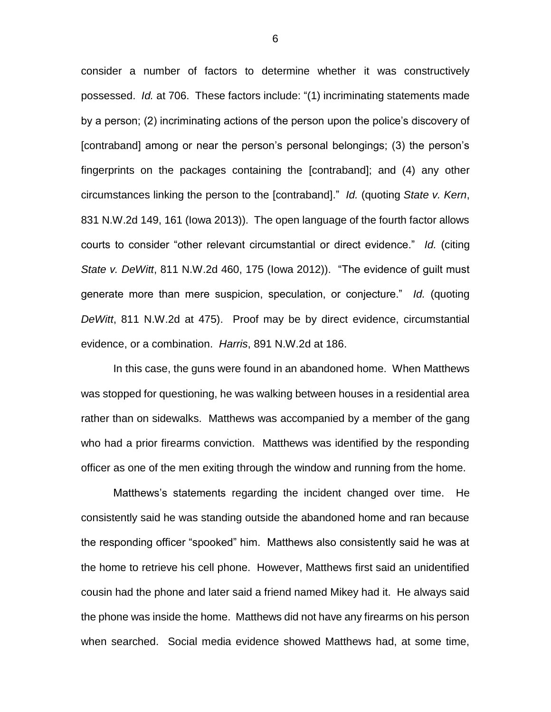consider a number of factors to determine whether it was constructively possessed. *Id.* at 706. These factors include: "(1) incriminating statements made by a person; (2) incriminating actions of the person upon the police's discovery of [contraband] among or near the person's personal belongings; (3) the person's fingerprints on the packages containing the [contraband]; and (4) any other circumstances linking the person to the [contraband]." *Id.* (quoting *State v. Kern*, 831 N.W.2d 149, 161 (Iowa 2013)). The open language of the fourth factor allows courts to consider "other relevant circumstantial or direct evidence." *Id.* (citing *State v. DeWitt*, 811 N.W.2d 460, 175 (Iowa 2012)). "The evidence of guilt must generate more than mere suspicion, speculation, or conjecture." *Id.* (quoting *DeWitt*, 811 N.W.2d at 475). Proof may be by direct evidence, circumstantial evidence, or a combination. *Harris*, 891 N.W.2d at 186.

In this case, the guns were found in an abandoned home. When Matthews was stopped for questioning, he was walking between houses in a residential area rather than on sidewalks. Matthews was accompanied by a member of the gang who had a prior firearms conviction. Matthews was identified by the responding officer as one of the men exiting through the window and running from the home.

Matthews's statements regarding the incident changed over time. He consistently said he was standing outside the abandoned home and ran because the responding officer "spooked" him. Matthews also consistently said he was at the home to retrieve his cell phone. However, Matthews first said an unidentified cousin had the phone and later said a friend named Mikey had it. He always said the phone was inside the home. Matthews did not have any firearms on his person when searched. Social media evidence showed Matthews had, at some time,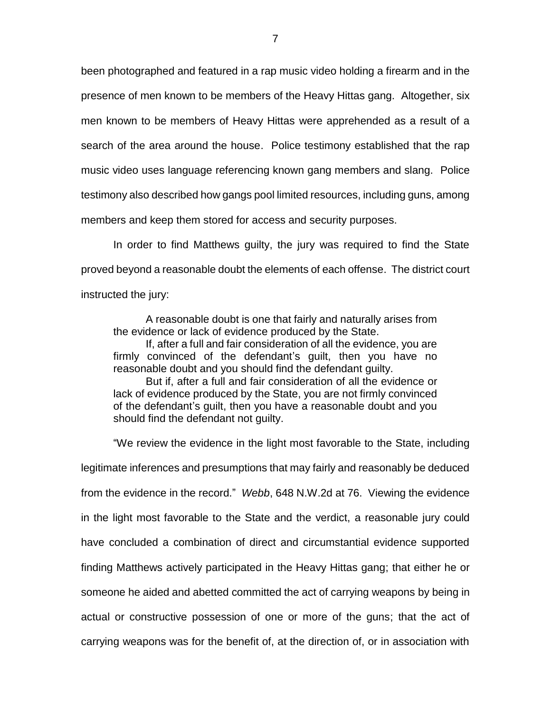been photographed and featured in a rap music video holding a firearm and in the presence of men known to be members of the Heavy Hittas gang. Altogether, six men known to be members of Heavy Hittas were apprehended as a result of a search of the area around the house. Police testimony established that the rap music video uses language referencing known gang members and slang. Police testimony also described how gangs pool limited resources, including guns, among members and keep them stored for access and security purposes.

In order to find Matthews guilty, the jury was required to find the State proved beyond a reasonable doubt the elements of each offense. The district court instructed the jury:

A reasonable doubt is one that fairly and naturally arises from the evidence or lack of evidence produced by the State.

If, after a full and fair consideration of all the evidence, you are firmly convinced of the defendant's guilt, then you have no reasonable doubt and you should find the defendant guilty.

But if, after a full and fair consideration of all the evidence or lack of evidence produced by the State, you are not firmly convinced of the defendant's guilt, then you have a reasonable doubt and you should find the defendant not guilty.

"We review the evidence in the light most favorable to the State, including legitimate inferences and presumptions that may fairly and reasonably be deduced from the evidence in the record." *Webb*, 648 N.W.2d at 76. Viewing the evidence in the light most favorable to the State and the verdict, a reasonable jury could have concluded a combination of direct and circumstantial evidence supported finding Matthews actively participated in the Heavy Hittas gang; that either he or someone he aided and abetted committed the act of carrying weapons by being in actual or constructive possession of one or more of the guns; that the act of carrying weapons was for the benefit of, at the direction of, or in association with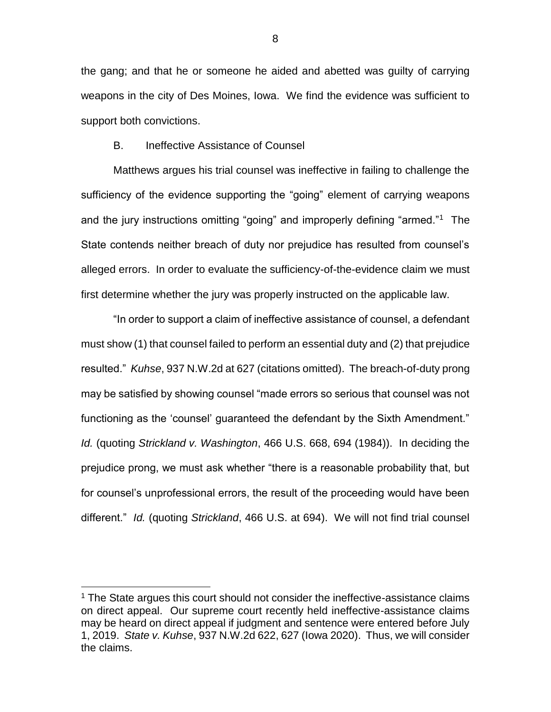the gang; and that he or someone he aided and abetted was guilty of carrying weapons in the city of Des Moines, Iowa. We find the evidence was sufficient to support both convictions.

### B. Ineffective Assistance of Counsel

Matthews argues his trial counsel was ineffective in failing to challenge the sufficiency of the evidence supporting the "going" element of carrying weapons and the jury instructions omitting "going" and improperly defining "armed."<sup>1</sup> The State contends neither breach of duty nor prejudice has resulted from counsel's alleged errors. In order to evaluate the sufficiency-of-the-evidence claim we must first determine whether the jury was properly instructed on the applicable law.

"In order to support a claim of ineffective assistance of counsel, a defendant must show (1) that counsel failed to perform an essential duty and (2) that prejudice resulted." *Kuhse*, 937 N.W.2d at 627 (citations omitted). The breach-of-duty prong may be satisfied by showing counsel "made errors so serious that counsel was not functioning as the 'counsel' guaranteed the defendant by the Sixth Amendment." *Id.* (quoting *Strickland v. Washington*, 466 U.S. 668, 694 (1984)). In deciding the prejudice prong, we must ask whether "there is a reasonable probability that, but for counsel's unprofessional errors, the result of the proceeding would have been different." *Id.* (quoting *Strickland*, 466 U.S. at 694). We will not find trial counsel

 $\overline{a}$ 

8

<sup>&</sup>lt;sup>1</sup> The State argues this court should not consider the ineffective-assistance claims on direct appeal. Our supreme court recently held ineffective-assistance claims may be heard on direct appeal if judgment and sentence were entered before July 1, 2019. *State v. Kuhse*, 937 N.W.2d 622, 627 (Iowa 2020). Thus, we will consider the claims.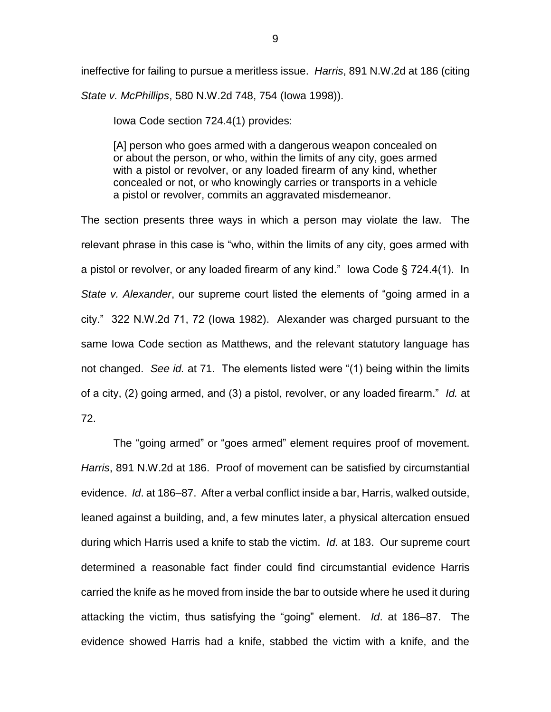ineffective for failing to pursue a meritless issue. *Harris*, 891 N.W.2d at 186 (citing *State v. McPhillips*, 580 N.W.2d 748, 754 (Iowa 1998)).

Iowa Code section 724.4(1) provides:

[A] person who goes armed with a dangerous weapon concealed on or about the person, or who, within the limits of any city, goes armed with a pistol or revolver, or any loaded firearm of any kind, whether concealed or not, or who knowingly carries or transports in a vehicle a pistol or revolver, commits an aggravated misdemeanor.

The section presents three ways in which a person may violate the law. The relevant phrase in this case is "who, within the limits of any city, goes armed with a pistol or revolver, or any loaded firearm of any kind." Iowa Code § 724.4(1). In *State v. Alexander*, our supreme court listed the elements of "going armed in a city." 322 N.W.2d 71, 72 (Iowa 1982). Alexander was charged pursuant to the same Iowa Code section as Matthews, and the relevant statutory language has not changed. *See id.* at 71. The elements listed were "(1) being within the limits of a city, (2) going armed, and (3) a pistol, revolver, or any loaded firearm." *Id.* at 72.

The "going armed" or "goes armed" element requires proof of movement. *Harris*, 891 N.W.2d at 186. Proof of movement can be satisfied by circumstantial evidence. *Id*. at 186–87. After a verbal conflict inside a bar, Harris, walked outside, leaned against a building, and, a few minutes later, a physical altercation ensued during which Harris used a knife to stab the victim. *Id.* at 183. Our supreme court determined a reasonable fact finder could find circumstantial evidence Harris carried the knife as he moved from inside the bar to outside where he used it during attacking the victim, thus satisfying the "going" element. *Id*. at 186–87. The evidence showed Harris had a knife, stabbed the victim with a knife, and the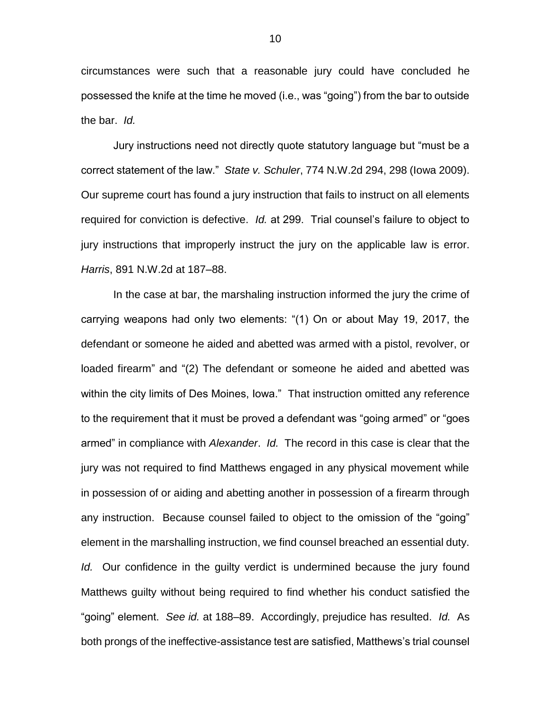circumstances were such that a reasonable jury could have concluded he possessed the knife at the time he moved (i.e., was "going") from the bar to outside the bar. *Id.*

Jury instructions need not directly quote statutory language but "must be a correct statement of the law." *State v. Schuler*, 774 N.W.2d 294, 298 (Iowa 2009). Our supreme court has found a jury instruction that fails to instruct on all elements required for conviction is defective. *Id.* at 299. Trial counsel's failure to object to jury instructions that improperly instruct the jury on the applicable law is error. *Harris*, 891 N.W.2d at 187–88.

In the case at bar, the marshaling instruction informed the jury the crime of carrying weapons had only two elements: "(1) On or about May 19, 2017, the defendant or someone he aided and abetted was armed with a pistol, revolver, or loaded firearm" and "(2) The defendant or someone he aided and abetted was within the city limits of Des Moines, Iowa." That instruction omitted any reference to the requirement that it must be proved a defendant was "going armed" or "goes armed" in compliance with *Alexander*. *Id.* The record in this case is clear that the jury was not required to find Matthews engaged in any physical movement while in possession of or aiding and abetting another in possession of a firearm through any instruction. Because counsel failed to object to the omission of the "going" element in the marshalling instruction, we find counsel breached an essential duty. *Id.* Our confidence in the guilty verdict is undermined because the jury found Matthews guilty without being required to find whether his conduct satisfied the "going" element. *See id.* at 188–89. Accordingly, prejudice has resulted. *Id.* As both prongs of the ineffective-assistance test are satisfied, Matthews's trial counsel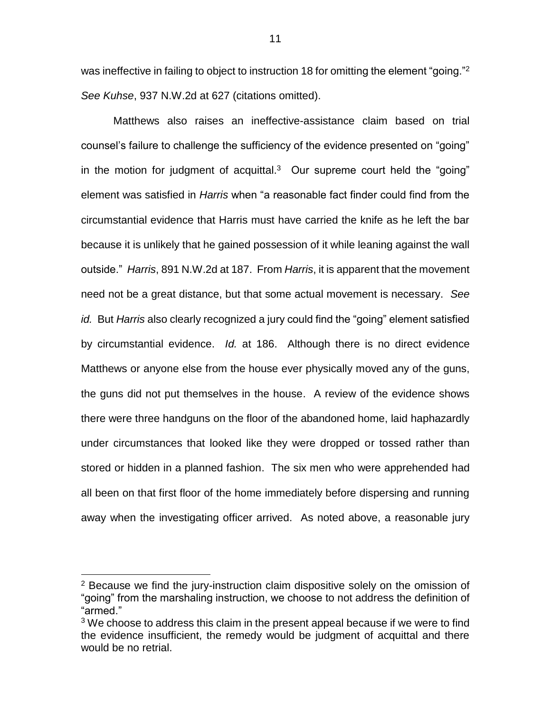was ineffective in failing to object to instruction 18 for omitting the element "going."<sup>2</sup> *See Kuhse*, 937 N.W.2d at 627 (citations omitted).

Matthews also raises an ineffective-assistance claim based on trial counsel's failure to challenge the sufficiency of the evidence presented on "going" in the motion for judgment of acquittal. $3$  Our supreme court held the "going" element was satisfied in *Harris* when "a reasonable fact finder could find from the circumstantial evidence that Harris must have carried the knife as he left the bar because it is unlikely that he gained possession of it while leaning against the wall outside." *Harris*, 891 N.W.2d at 187. From *Harris*, it is apparent that the movement need not be a great distance, but that some actual movement is necessary. *See id.* But *Harris* also clearly recognized a jury could find the "going" element satisfied by circumstantial evidence. *Id.* at 186. Although there is no direct evidence Matthews or anyone else from the house ever physically moved any of the guns, the guns did not put themselves in the house. A review of the evidence shows there were three handguns on the floor of the abandoned home, laid haphazardly under circumstances that looked like they were dropped or tossed rather than stored or hidden in a planned fashion. The six men who were apprehended had all been on that first floor of the home immediately before dispersing and running away when the investigating officer arrived. As noted above, a reasonable jury

 $\overline{a}$ 

<sup>&</sup>lt;sup>2</sup> Because we find the jury-instruction claim dispositive solely on the omission of "going" from the marshaling instruction, we choose to not address the definition of "armed."

 $3$  We choose to address this claim in the present appeal because if we were to find the evidence insufficient, the remedy would be judgment of acquittal and there would be no retrial.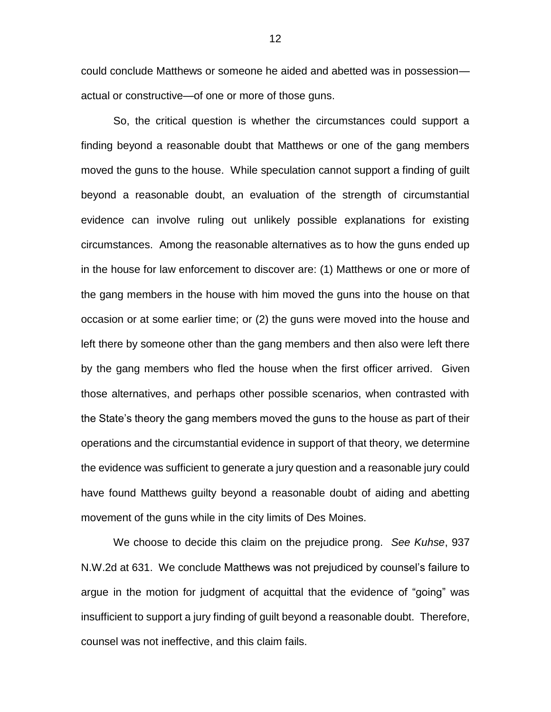could conclude Matthews or someone he aided and abetted was in possession actual or constructive—of one or more of those guns.

So, the critical question is whether the circumstances could support a finding beyond a reasonable doubt that Matthews or one of the gang members moved the guns to the house. While speculation cannot support a finding of guilt beyond a reasonable doubt, an evaluation of the strength of circumstantial evidence can involve ruling out unlikely possible explanations for existing circumstances. Among the reasonable alternatives as to how the guns ended up in the house for law enforcement to discover are: (1) Matthews or one or more of the gang members in the house with him moved the guns into the house on that occasion or at some earlier time; or (2) the guns were moved into the house and left there by someone other than the gang members and then also were left there by the gang members who fled the house when the first officer arrived. Given those alternatives, and perhaps other possible scenarios, when contrasted with the State's theory the gang members moved the guns to the house as part of their operations and the circumstantial evidence in support of that theory, we determine the evidence was sufficient to generate a jury question and a reasonable jury could have found Matthews guilty beyond a reasonable doubt of aiding and abetting movement of the guns while in the city limits of Des Moines.

We choose to decide this claim on the prejudice prong. *See Kuhse*, 937 N.W.2d at 631. We conclude Matthews was not prejudiced by counsel's failure to argue in the motion for judgment of acquittal that the evidence of "going" was insufficient to support a jury finding of guilt beyond a reasonable doubt. Therefore, counsel was not ineffective, and this claim fails.